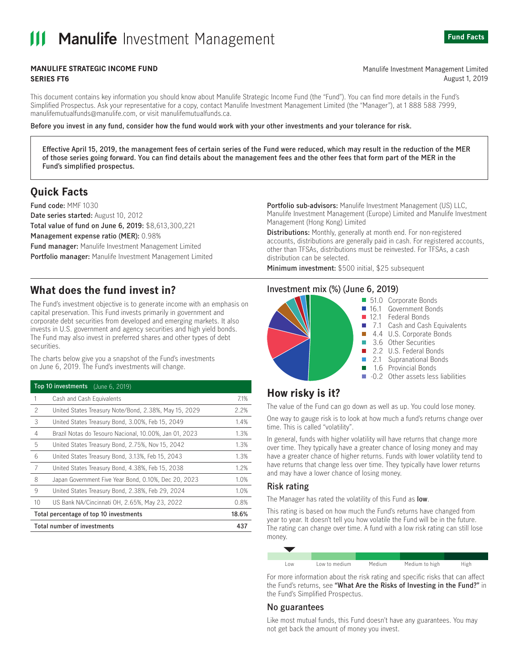# **Manulife Investment Management**



#### **MANULIFE STRATEGIC INCOME FUND SERIES FT6**

Manulife Investment Management Limited August 1, 2019

This document contains key information you should know about Manulife Strategic Income Fund (the "Fund"). You can find more details in the Fund's Simplified Prospectus. Ask your representative for a copy, contact Manulife Investment Management Limited (the "Manager"), at 1888 588 7999, manulifemutualfunds@manulife.com, or visit manulifemutualfunds.ca.

#### Before you invest in any fund, consider how the fund would work with your other investments and your tolerance for risk.

Effective April 15, 2019, the management fees of certain series of the Fund were reduced, which may result in the reduction of the MER of those series going forward. You can find details about the management fees and the other fees that form part of the MER in the Fund's simplified prospectus.

## **Ouick Facts**

Fund code: MMF 1030 Date series started: August 10, 2012 Total value of fund on June 6, 2019: \$8,613,300,221 Management expense ratio (MER): 0.98% Fund manager: Manulife Investment Management Limited Portfolio manager: Manulife Investment Management Limited

## What does the fund invest in?

The Fund's investment objective is to generate income with an emphasis on capital preservation. This Fund invests primarily in government and corporate debt securities from developed and emerging markets. It also invests in U.S. government and agency securities and high yield bonds. The Fund may also invest in preferred shares and other types of debt securities.

The charts below give you a snapshot of the Fund's investments on June 6, 2019. The Fund's investments will change.

| Top 10 investments (June 6, 2019)      |                                                        |       |
|----------------------------------------|--------------------------------------------------------|-------|
| 1                                      | Cash and Cash Equivalents                              | 7.1%  |
| $\mathcal{P}$                          | United States Treasury Note/Bond, 2.38%, May 15, 2029  | 2.2%  |
| 3                                      | United States Treasury Bond, 3.00%, Feb 15, 2049       | 1.4%  |
| 4                                      | Brazil Notas do Tesouro Nacional, 10.00%, Jan 01, 2023 | 1.3%  |
| 5                                      | United States Treasury Bond, 2.75%, Nov 15, 2042       | 1.3%  |
| 6                                      | United States Treasury Bond, 3.13%, Feb 15, 2043       | 1.3%  |
| 7                                      | United States Treasury Bond, 4.38%, Feb 15, 2038       | 1.2%  |
| 8                                      | Japan Government Five Year Bond, 0.10%, Dec 20, 2023   | 1.0%  |
| 9                                      | United States Treasury Bond, 2.38%, Feb 29, 2024       | 1.0%  |
| 10                                     | US Bank NA/Cincinnati OH, 2.65%, May 23, 2022          | 0.8%  |
| Total percentage of top 10 investments |                                                        | 18.6% |
| <b>Total number of investments</b>     |                                                        | 437   |

Portfolio sub-advisors: Manulife Investment Management (US) LLC, Manulife Investment Management (Europe) Limited and Manulife Investment Management (Hong Kong) Limited

Distributions: Monthly, generally at month end. For non-registered accounts, distributions are generally paid in cash. For registered accounts, other than TFSAs, distributions must be reinvested. For TFSAs, a cash distribution can be selected.

Minimum investment: \$500 initial, \$25 subsequent

## Investment mix (%) (June 6, 2019)



- 51.0 Corporate Bonds
	- Government Bonds  $16.1$
- $12.1$ Federal Bonds
	- Cash and Cash Equivalents 7.1
	- 4.4 U.S. Corporate Bonds
- 3.6 Other Securities
	- 2.2 U.S. Federal Bonds
	- 2.1 Supranational Bonds
- 1.6 Provincial Bonds
- -0.2 Other assets less liabilities

## How risky is it?

The value of the Fund can go down as well as up. You could lose money.

One way to gauge risk is to look at how much a fund's returns change over time. This is called "volatility".

In general, funds with higher volatility will have returns that change more over time. They typically have a greater chance of losing money and may have a greater chance of higher returns. Funds with lower volatility tend to have returns that change less over time. They typically have lower returns and may have a lower chance of losing money.

#### **Risk rating**

The Manager has rated the volatility of this Fund as low.

This rating is based on how much the Fund's returns have changed from year to year. It doesn't tell you how volatile the Fund will be in the future. The rating can change over time. A fund with a low risk rating can still lose money.

| LOW | Low to medium | Medium | Medium to high | High |
|-----|---------------|--------|----------------|------|

For more information about the risk rating and specific risks that can affect the Fund's returns, see "What Are the Risks of Investing in the Fund?" in the Fund's Simplified Prospectus.

## No guarantees

Like most mutual funds, this Fund doesn't have any guarantees. You may not get back the amount of money you invest.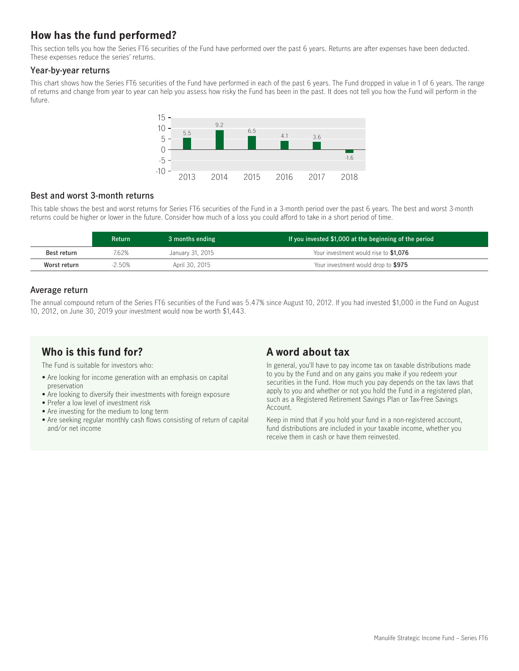# How has the fund performed?

This section tells you how the Series FT6 securities of the Fund have performed over the past 6 years. Returns are after expenses have been deducted. These expenses reduce the series' returns.

#### Year-by-year returns

This chart shows how the Series FT6 securities of the Fund have performed in each of the past 6 years. The Fund dropped in value in 1 of 6 years. The range of returns and change from year to year can help you assess how risky the Fund has been in the past. It does not tell you how the Fund will perform in the future.



## Best and worst 3-month returns

This table shows the best and worst returns for Series FT6 securities of the Fund in a 3-month period over the past 6 years. The best and worst 3-month returns could be higher or lower in the future. Consider how much of a loss you could afford to take in a short period of time.

|              | <b>Return</b> | 3 months ending  | If you invested \$1,000 at the beginning of the period |
|--------------|---------------|------------------|--------------------------------------------------------|
| Best return  | 7.62%         | January 31, 2015 | Your investment would rise to \$1,076                  |
| Worst return | 2.50%         | April 30, 2015   | Your investment would drop to \$975                    |

## Average return

The annual compound return of the Series FT6 securities of the Fund was 5.47% since August 10, 2012. If you had invested \$1,000 in the Fund on August 10, 2012, on June 30, 2019 your investment would now be worth \$1,443.

## Who is this fund for?

The Fund is suitable for investors who:

- Are looking for income generation with an emphasis on capital preservation
- Are looking to diversify their investments with foreign exposure
- Prefer a low level of investment risk
- Are investing for the medium to long term
- Are seeking regular monthly cash flows consisting of return of capital and/or net income

## A word about tax

In general, you'll have to pay income tax on taxable distributions made to you by the Fund and on any gains you make if you redeem your securities in the Fund. How much you pay depends on the tax laws that apply to you and whether or not you hold the Fund in a registered plan, such as a Registered Retirement Savings Plan or Tax-Free Savings Account.

Keep in mind that if you hold your fund in a non-registered account, fund distributions are included in your taxable income, whether you receive them in cash or have them reinvested.